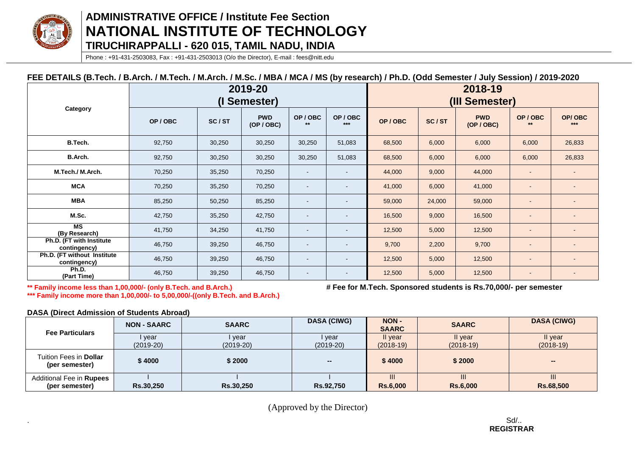

# **ADMINISTRATIVE OFFICE / Institute Fee Section NATIONAL INSTITUTE OF TECHNOLOGY TIRUCHIRAPPALLI - 620 015, TAMIL NADU, INDIA**

Phone : +91-431-2503083, Fax : +91-431-2503013 (O/o the Director), E-mail : fees@nitt.edu

## **FEE DETAILS (B.Tech. / B.Arch. / M.Tech. / M.Arch. / M.Sc. / MBA / MCA / MS (by research) / Ph.D. (Odd Semester / July Session) / 2019-2020**

|                                             | 2019-20<br>Semester) |        |                          |                          | 2018-19<br>(III Semester) |        |        |                          |                |                 |
|---------------------------------------------|----------------------|--------|--------------------------|--------------------------|---------------------------|--------|--------|--------------------------|----------------|-----------------|
| Category                                    | OP/OBC               | SC/ST  | <b>PWD</b><br>(OP / OBC) | OP/OBC<br>$**$           | OP/OBC<br>$***$           | OP/OBC | SC/ST  | <b>PWD</b><br>(OP / OBC) | OP/OBC<br>$**$ | OP/OBC<br>$***$ |
| B.Tech.                                     | 92,750               | 30,250 | 30,250                   | 30,250                   | 51,083                    | 68,500 | 6,000  | 6,000                    | 6,000          | 26,833          |
| B.Arch.                                     | 92,750               | 30,250 | 30,250                   | 30,250                   | 51,083                    | 68,500 | 6,000  | 6,000                    | 6,000          | 26,833          |
| M.Tech./M.Arch.                             | 70,250               | 35,250 | 70,250                   | $\overline{\phantom{a}}$ |                           | 44,000 | 9,000  | 44,000                   |                |                 |
| <b>MCA</b>                                  | 70,250               | 35,250 | 70,250                   | $\sim$                   |                           | 41,000 | 6,000  | 41,000                   |                |                 |
| <b>MBA</b>                                  | 85,250               | 50,250 | 85,250                   | $\sim$                   |                           | 59,000 | 24,000 | 59,000                   |                |                 |
| M.Sc.                                       | 42,750               | 35,250 | 42,750                   | $\sim$                   | $\overline{\phantom{a}}$  | 16,500 | 9,000  | 16,500                   |                |                 |
| MS<br>(By Research)                         | 41,750               | 34,250 | 41,750                   | $\sim$                   |                           | 12,500 | 5,000  | 12,500                   |                |                 |
| Ph.D. (FT with Institute<br>contingency)    | 46,750               | 39,250 | 46,750                   | $\overline{\phantom{a}}$ |                           | 9,700  | 2,200  | 9,700                    |                |                 |
| Ph.D. (FT without Institute<br>contingency) | 46,750               | 39,250 | 46,750                   | $\sim$                   | $\blacksquare$            | 12,500 | 5,000  | 12,500                   |                |                 |
| Ph.D.<br>(Part Time)                        | 46,750               | 39,250 | 46,750                   | $\overline{\phantom{a}}$ |                           | 12,500 | 5,000  | 12,500                   |                |                 |

**\*\* Family income less than 1,00,000/- (only B.Tech. and B.Arch.) # Fee for M.Tech. Sponsored students is Rs.70,000/- per semester**

**\*\*\* Family income more than 1,00,000/- to 5,00,000/-((only B.Tech. and B.Arch.)**

**DASA (Direct Admission of Students Abroad)**

| <b>Fee Particulars</b>                          | <b>NON - SAARC</b>    | <b>SAARC</b>          | <b>DASA (CIWG)</b>    | <b>NON -</b><br><b>SAARC</b> | <b>SAARC</b>           | <b>DASA (CIWG)</b>     |
|-------------------------------------------------|-----------------------|-----------------------|-----------------------|------------------------------|------------------------|------------------------|
|                                                 | l year<br>$(2019-20)$ | l year<br>$(2019-20)$ | I year<br>$(2019-20)$ | II vear<br>$(2018-19)$       | II year<br>$(2018-19)$ | Il year<br>$(2018-19)$ |
| Tuition Fees in <b>Dollar</b><br>(per semester) | \$4000                | \$2000                | $\sim$                | \$4000                       | \$2000                 | $\sim$                 |
| Additional Fee in Rupees<br>(per semester)      | <b>Rs.30.250</b>      | <b>Rs.30.250</b>      | Rs.92.750             | <b>Rs.6,000</b>              | Ш<br><b>Rs.6,000</b>   | Ш<br>Rs.68.500         |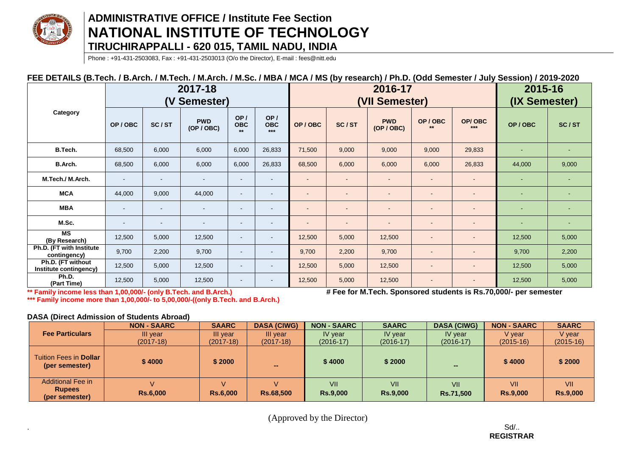

# **ADMINISTRATIVE OFFICE / Institute Fee Section NATIONAL INSTITUTE OF TECHNOLOGY TIRUCHIRAPPALLI - 620 015, TAMIL NADU, INDIA**

Phone : +91-431-2503083, Fax : +91-431-2503013 (O/o the Director), E-mail : fees@nitt.edu

## **FEE DETAILS (B.Tech. / B.Arch. / M.Tech. / M.Arch. / M.Sc. / MBA / MCA / MS (by research) / Ph.D. (Odd Semester / July Session) / 2019-2020**

|                                             | 2017-18<br>(V Semester) |        |                          |                           | 2016-17<br>(VII Semester)  |        |                          |                          |                          | 2015-16<br>(IX Semester) |        |                |
|---------------------------------------------|-------------------------|--------|--------------------------|---------------------------|----------------------------|--------|--------------------------|--------------------------|--------------------------|--------------------------|--------|----------------|
| Category                                    | OP/OBC                  | SC/ST  | <b>PWD</b><br>(OP / OBC) | OP/<br><b>OBC</b><br>$**$ | OP/<br><b>OBC</b><br>$***$ | OP/OBC | SC/ST                    | <b>PWD</b><br>(OP / OBC) | OP/OBC<br>$**$           | OP/OBC<br>$***$          | OP/OBC | SC/ST          |
| B.Tech.                                     | 68,500                  | 6,000  | 6,000                    | 6,000                     | 26,833                     | 71,500 | 9,000                    | 9,000                    | 9,000                    | 29,833                   |        | $\blacksquare$ |
| B.Arch.                                     | 68,500                  | 6,000  | 6,000                    | 6,000                     | 26,833                     | 68,500 | 6,000                    | 6,000                    | 6,000                    | 26,833                   | 44,000 | 9,000          |
| M.Tech./ M.Arch.                            | $\sim$                  |        |                          | $\sim$                    | $\blacksquare$             |        | $\overline{\phantom{a}}$ |                          | $\blacksquare$           |                          |        |                |
| <b>MCA</b>                                  | 44,000                  | 9,000  | 44,000                   | $\blacksquare$            | $\overline{\phantom{a}}$   |        | $\overline{\phantom{a}}$ |                          | $\overline{\phantom{a}}$ |                          |        | $\sim$         |
| <b>MBA</b>                                  | $\sim$                  |        |                          | ٠                         |                            |        | $\overline{\phantom{a}}$ |                          | -                        |                          |        |                |
| M.Sc.                                       | $\sim$                  | $\sim$ | $\overline{\phantom{a}}$ | $\overline{\phantom{a}}$  | $\overline{\phantom{a}}$   |        | $\overline{\phantom{a}}$ |                          | $\overline{\phantom{a}}$ |                          |        | $\sim$         |
| MS<br>(By Research)                         | 12,500                  | 5,000  | 12,500                   | $\sim$                    | $\sim$                     | 12,500 | 5,000                    | 12,500                   | $\blacksquare$           |                          | 12,500 | 5,000          |
| Ph.D. (FT with Institute<br>contingency)    | 9,700                   | 2,200  | 9,700                    | $\sim$                    | $\blacksquare$             | 9,700  | 2,200                    | 9,700                    | $\blacksquare$           |                          | 9,700  | 2,200          |
| Ph.D. (FT without<br>Institute contingency) | 12,500                  | 5,000  | 12,500                   | $\blacksquare$            | $\overline{\phantom{a}}$   | 12,500 | 5,000                    | 12,500                   | $\blacksquare$           |                          | 12,500 | 5,000          |
| Ph.D.<br>(Part Time)                        | 12,500                  | 5,000  | 12,500                   | $\blacksquare$            | ٠                          | 12,500 | 5,000                    | 12,500                   | $\overline{\phantom{a}}$ | $\blacksquare$           | 12,500 | 5,000          |

**\*\*\* Family income more than 1,00,000/- to 5,00,000/-((only B.Tech. and B.Arch.)**

**\*\* Family income less than 1,00,000/- (only B.Tech. and B.Arch.) # Fee for M.Tech. Sponsored students is Rs.70,000/- per semester**

#### **DASA (Direct Admission of Students Abroad)**

|                                                             | <b>NON - SAARC</b>   | <b>SAARC</b>    | <b>DASA (CIWG)</b> | <b>NON - SAARC</b>     | <b>SAARC</b>           | <b>DASA (CIWG)</b>      | <b>NON-SAARC</b>       | <b>SAARC</b>           |
|-------------------------------------------------------------|----------------------|-----------------|--------------------|------------------------|------------------------|-------------------------|------------------------|------------------------|
| <b>Fee Particulars</b>                                      | III year             | III year        | III year           | IV year                | IV year                | IV year                 | V year                 | V year                 |
|                                                             | (2017-18)            | $(2017-18)$     | $(2017-18)$        | $(2016-17)$            | $(2016-17)$            | $(2016-17)$             | $(2015-16)$            | (2015-16)              |
| <b>Tuition Fees in Dollar</b><br>(per semester)             | \$4000               | \$2000          | -                  | \$4000                 | \$2000                 | $\sim$                  | \$4000                 | \$2000                 |
| <b>Additional Fee in</b><br><b>Rupees</b><br>(per semester) | V<br><b>Rs.6,000</b> | <b>Rs.6,000</b> | <b>Rs.68,500</b>   | VII<br><b>Rs.9,000</b> | VII<br><b>Rs.9.000</b> | VII<br><b>Rs.71,500</b> | VII<br><b>Rs.9,000</b> | VII<br><b>Rs.9,000</b> |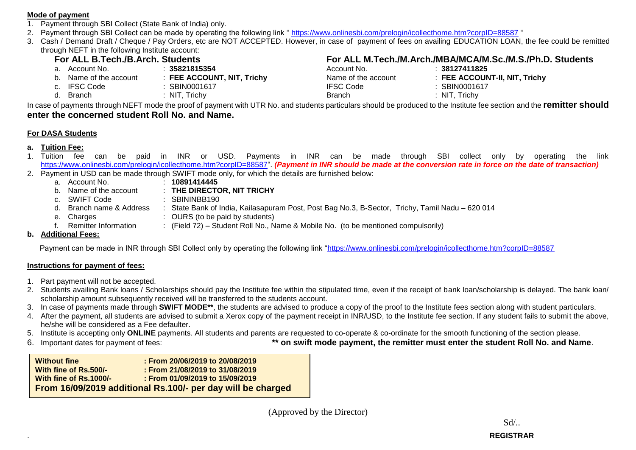#### **Mode of payment**

- 1. Payment through SBI Collect (State Bank of India) only.
- 2. Payment through SBI Collect can be made by operating the following link "<https://www.onlinesbi.com/prelogin/icollecthome.htm?corpID=88587> "
- 3. Cash / Demand Draft / Cheque / Pay Orders, etc are NOT ACCEPTED. However, in case of payment of fees on availing EDUCATION LOAN, the fee could be remitted through NEFT in the following Institute account:

- a. Account No. : **35821815354** Account No. : **38127411825**
- b. Name of the account : **FEE ACCOUNT, NIT, Trichy**<br>C. IFSC Code : **SBIN0001617** 
	-
	-

# **For ALL B.Tech./B.Arch. Students**<br> **For ALL M.Tech./M.Arch./MBA/MCA/M.Sc./M.S./Ph.D. Students**<br>
Account No. 138127411825<br>
Account No. 138127411825

| a. Account No.         | 35821815354                | Account No.         | 38127411825                   |
|------------------------|----------------------------|---------------------|-------------------------------|
| b. Name of the account | : FEE ACCOUNT, NIT, Trichy | Name of the account | : FEE ACCOUNT-II, NIT, Trichy |
| c. IFSC Code           | SBIN0001617                | <b>IFSC Code</b>    | SBIN0001617                   |
| d. Branch              | NIT, Trichy                | Branch              | NIT, Trichy                   |

In case of payments through NEFT mode the proof of payment with UTR No. and students particulars should be produced to the Institute fee section and the **remitter should enter the concerned student Roll No. and Name.**

### **For DASA Students**

## **a. Tuition Fee:**

- 1. Tuition fee can be paid in INR or USD. Payments in INR can be made through SBI collect only by operating the link [https://www.onlinesbi.com/prelogin/icollecthome.htm?corpID=88587"](https://www.onlinesbi.com/prelogin/icollecthome.htm?corpID=88587). *(Payment in INR should be made at the conversion rate in force on the date of transaction)*
- 2. Payment in USD can be made through SWIFT mode only, for which the details are furnished below:
	- a. Account No. : **10891414445**
	- b. Name of the account : **THE DIRECTOR, NIT TRICHY**
	- c. SWIFT Code : SBININBB190
	- d. Branch name & Address : State Bank of India, Kailasapuram Post, Post Bag No.3, B-Sector, Trichy, Tamil Nadu 620 014
	- e. Charges : OURS (to be paid by students)
	- f. Remitter Information : (Field 72) Student Roll No., Name & Mobile No. (to be mentioned compulsorily)
- **b. Additional Fees:**

Payment can be made in INR through SBI Collect only by operating the following link ["https://www.onlinesbi.com/prelogin/icollecthome.htm?corpID=88587](https://www.onlinesbi.com/prelogin/icollecthome.htm?corpID=88587)

### **Instructions for payment of fees:**

- 1. Part payment will not be accepted.
- 2. Students availing Bank loans / Scholarships should pay the Institute fee within the stipulated time, even if the receipt of bank loan/scholarship is delayed. The bank loan/ scholarship amount subsequently received will be transferred to the students account.
- 3. In case of payments made through **SWIFT MODE\*\***, the students are advised to produce a copy of the proof to the Institute fees section along with student particulars.
- 4. After the payment, all students are advised to submit a Xerox copy of the payment receipt in INR/USD, to the Institute fee section. If any student fails to submit the above, he/she will be considered as a Fee defaulter.
- 5. Institute is accepting only **ONLINE** payments. All students and parents are requested to co-operate & co-ordinate for the smooth functioning of the section please.
- 
- 6. Important dates for payment of fees: **\*\* on swift mode payment, the remitter must enter the student Roll No. and Name**.

| <b>Without fine</b>    | : From 20/06/2019 to 20/08/2019                             |
|------------------------|-------------------------------------------------------------|
| With fine of Rs.500/-  | : From $21/08/2019$ to $31/08/2019$                         |
| With fine of Rs.1000/- | : From 01/09/2019 to 15/09/2019                             |
|                        | From 16/09/2019 additional Rs.100/- per day will be charged |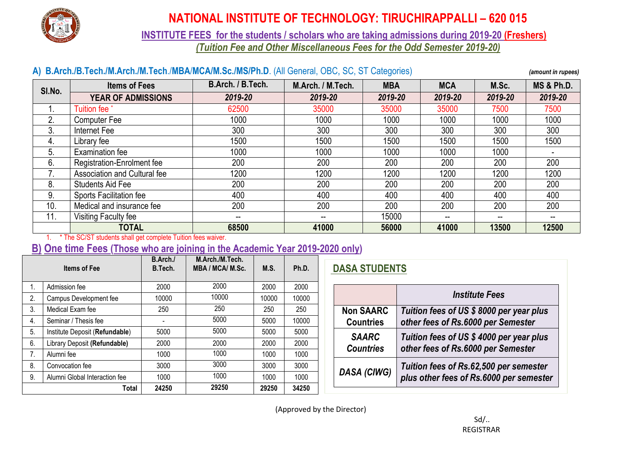

# **NATIONAL INSTITUTE OF TECHNOLOGY: TIRUCHIRAPPALLI – 620 015**

**INSTITUTE FEES for the students / scholars who are taking admissions during 2019-20 (Freshers)** *(Tuition Fee and Other Miscellaneous Fees for the Odd Semester 2019-20)*

## **A) B.Arch./B.Tech./M.Arch./M.Tech**./**MBA**/**MCA/M.Sc./MS/Ph.D**. (All General, OBC, SC, ST Categories) *(amount in rupees)*

| SI.No. | <b>Items of Fees</b>         | B.Arch. / B.Tech. | M.Arch. / M.Tech. | <b>MBA</b> | <b>MCA</b> | M.Sc.   | <b>MS &amp; Ph.D.</b> |
|--------|------------------------------|-------------------|-------------------|------------|------------|---------|-----------------------|
|        | <b>YEAR OF ADMISSIONS</b>    | 2019-20           | 2019-20           | 2019-20    | 2019-20    | 2019-20 | 2019-20               |
|        | Tuition fee                  | 62500             | 35000             | 35000      | 35000      | 7500    | 7500                  |
| 2.     | <b>Computer Fee</b>          | 1000              | 1000              | 1000       | 1000       | 1000    | 1000                  |
| 3.     | Internet Fee                 | 300               | 300               | 300        | 300        | 300     | 300                   |
| 4.     | Library fee                  | 1500              | 1500              | 1500       | 1500       | 1500    | 1500                  |
| 5.     | <b>Examination fee</b>       | 1000              | 1000              | 1000       | 1000       | 1000    |                       |
| 6.     | Registration-Enrolment fee   | 200               | 200               | 200        | 200        | 200     | 200                   |
|        | Association and Cultural fee | 1200              | 1200              | 1200       | 1200       | 1200    | 1200                  |
| 8.     | <b>Students Aid Fee</b>      | 200               | 200               | 200        | 200        | 200     | 200                   |
| 9.     | Sports Facilitation fee      | 400               | 400               | 400        | 400        | 400     | 400                   |
| 10.    | Medical and insurance fee    | 200               | 200               | 200        | 200        | 200     | 200                   |
| 11.    | Visiting Faculty fee         | --                | --                | 15000      | --         | --      | --                    |
|        | <b>TOTAL</b>                 | 68500             | 41000             | 56000      | 41000      | 13500   | 12500                 |

1. \* The SC/ST students shall get complete Tuition fees waiver.

## **B) One time Fees (Those who are joining in the Academic Year 2019-2020 only)**

|    | <b>Items of Fee</b>            | B.Arch./<br>B.Tech. | M.Arch./M.Tech.<br>MBA / MCA/ M.Sc. | M.S.  | Ph.D. |
|----|--------------------------------|---------------------|-------------------------------------|-------|-------|
| 1. | Admission fee                  | 2000                | 2000                                | 2000  | 2000  |
| 2. | Campus Development fee         | 10000               | 10000                               | 10000 | 10000 |
| 3. | Medical Exam fee               | 250                 | 250                                 | 250   | 250   |
| 4. | Seminar / Thesis fee           |                     | 5000                                | 5000  | 10000 |
| 5. | Institute Deposit (Refundable) | 5000                | 5000                                | 5000  | 5000  |
| 6. | Library Deposit (Refundable)   | 2000                | 2000                                | 2000  | 2000  |
| 7. | Alumni fee                     | 1000                | 1000                                | 1000  | 1000  |
| 8. | Convocation fee                | 3000                | 3000                                | 3000  | 3000  |
| 9. | Alumni Global Interaction fee  | 1000                | 1000                                | 1000  | 1000  |
|    | Total                          | 24250               | 29250                               | 29250 | 34250 |

# **DASA STUDENTS**

|                    | <i><b>Institute Fees</b></i>                                                      |
|--------------------|-----------------------------------------------------------------------------------|
| <b>Non SAARC</b>   | Tuition fees of US \$8000 per year plus                                           |
| <b>Countries</b>   | other fees of Rs.6000 per Semester                                                |
| <b>SAARC</b>       | Tuition fees of US \$4000 per year plus                                           |
| <b>Countries</b>   | other fees of Rs.6000 per Semester                                                |
| <b>DASA (CIWG)</b> | Tuition fees of Rs.62,500 per semester<br>plus other fees of Rs.6000 per semester |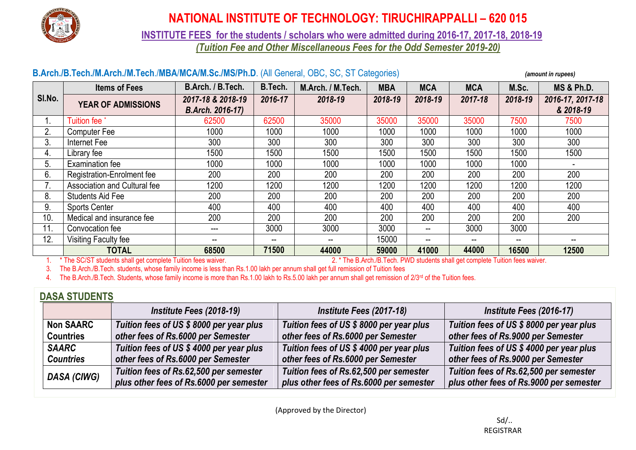

# **NATIONAL INSTITUTE OF TECHNOLOGY: TIRUCHIRAPPALLI – 620 015**

**INSTITUTE FEES for the students / scholars who were admitted during 2016-17, 2017-18, 2018-19**

*(Tuition Fee and Other Miscellaneous Fees for the Odd Semester 2019-20)*

## **B.Arch./B.Tech./M.Arch./M.Tech**./**MBA**/**MCA/M.Sc./MS/Ph.D**. (All General, OBC, SC, ST Categories) *(amount in rupees)*

|        | <b>Items of Fees</b>         | B.Arch. / B.Tech.                            | B.Tech. | M.Arch. / M.Tech. | <b>MBA</b> | <b>MCA</b> | <b>MCA</b>               | M.Sc.                    | <b>MS &amp; Ph.D.</b>         |
|--------|------------------------------|----------------------------------------------|---------|-------------------|------------|------------|--------------------------|--------------------------|-------------------------------|
| SI.No. | <b>YEAR OF ADMISSIONS</b>    | 2017-18 & 2018-19<br><b>B.Arch. 2016-17)</b> | 2016-17 | 2018-19           | 2018-19    | 2018-19    | 2017-18                  | 2018-19                  | 2016-17, 2017-18<br>& 2018-19 |
|        | <b>Tuition fee</b>           | 62500                                        | 62500   | 35000             | 35000      | 35000      | 35000                    | 7500                     | 7500                          |
| Ζ.     | Computer Fee                 | 1000                                         | 1000    | 1000              | 1000       | 1000       | 1000                     | 1000                     | 1000                          |
|        | Internet Fee                 | 300                                          | 300     | 300               | 300        | 300        | 300                      | 300                      | 300                           |
| 4.     | Library fee                  | 1500                                         | 1500    | 1500              | 1500       | 1500       | 1500                     | 1500                     | 1500                          |
| ხ.     | Examination fee              | 1000                                         | 1000    | 1000              | 1000       | 1000       | 1000                     | 1000                     |                               |
| 6.     | Registration-Enrolment fee   | 200                                          | 200     | 200               | 200        | 200        | 200                      | 200                      | 200                           |
|        | Association and Cultural fee | 1200                                         | 1200    | 1200              | 1200       | 1200       | 1200                     | 1200                     | 1200                          |
| 8.     | <b>Students Aid Fee</b>      | 200                                          | 200     | 200               | 200        | 200        | 200                      | 200                      | 200                           |
| 9.     | <b>Sports Center</b>         | 400                                          | 400     | 400               | 400        | 400        | 400                      | 400                      | 400                           |
| 10.    | Medical and insurance fee    | 200                                          | 200     | 200               | 200        | 200        | 200                      | 200                      | 200                           |
| 11.    | Convocation fee              | ---                                          | 3000    | 3000              | 3000       | $\sim$     | 3000                     | 3000                     |                               |
| 12.    | Visiting Faculty fee         | --                                           | --      | --                | 15000      | $\sim$     | $\overline{\phantom{a}}$ | $\overline{\phantom{a}}$ |                               |
|        | <b>TOTAL</b>                 | 68500                                        | 71500   | 44000             | 59000      | 41000      | 44000                    | 16500                    | 12500                         |

1. \* The SC/ST students shall get complete Tuition fees waiver. 2. \* The B.Arch./B.Tech. PWD students shall get complete Tuition fees waiver.

3. The B.Arch./B.Tech. students, whose family income is less than Rs.1.00 lakh per annum shall get full remission of Tuition fees

4. The B.Arch./B.Tech. Students, whose family income is more than Rs.1.00 lakh to Rs.5.00 lakh per annum shall get remission of 2/3<sup>rd</sup> of the Tuition fees.

## **DASA STUDENTS**

|                  | Institute Fees (2018-19)                | Institute Fees (2017-18)                | Institute Fees (2016-17)                |
|------------------|-----------------------------------------|-----------------------------------------|-----------------------------------------|
| <b>Non SAARC</b> | Tuition fees of US \$8000 per year plus | Tuition fees of US \$8000 per year plus | Tuition fees of US \$8000 per year plus |
| <b>Countries</b> | other fees of Rs.6000 per Semester      | other fees of Rs.6000 per Semester      | other fees of Rs.9000 per Semester      |
| <b>SAARC</b>     | Tuition fees of US \$4000 per year plus | Tuition fees of US \$4000 per year plus | Tuition fees of US \$4000 per year plus |
| <b>Countries</b> | other fees of Rs.6000 per Semester      | other fees of Rs.6000 per Semester      | other fees of Rs.9000 per Semester      |
|                  | Tuition fees of Rs.62,500 per semester  | Tuition fees of Rs.62,500 per semester  | Tuition fees of Rs.62,500 per semester  |
| DASA (CIWG)      | plus other fees of Rs.6000 per semester | plus other fees of Rs.6000 per semester | plus other fees of Rs.9000 per semester |